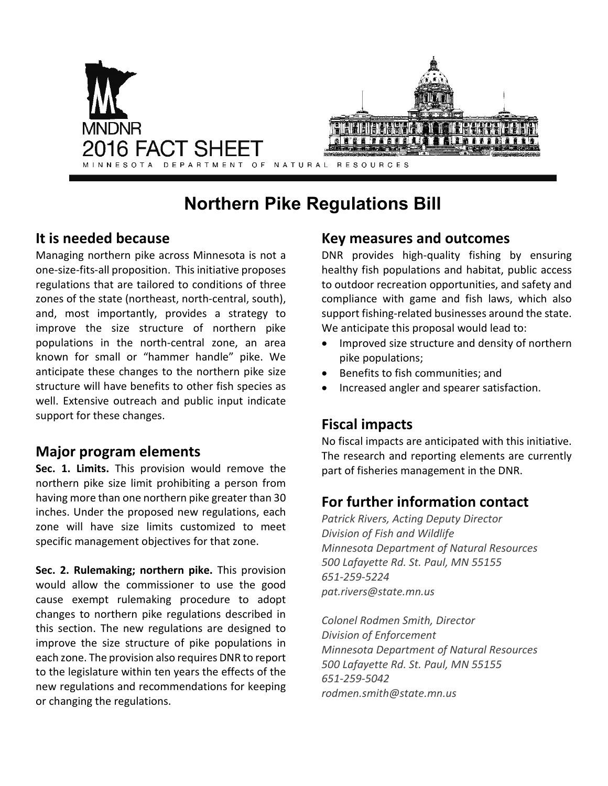

# **Northern Pike Regulations Bill**

### **It is needed because**

Managing northern pike across Minnesota is not a one-size-fits-all proposition. This initiative proposes regulations that are tailored to conditions of three zones of the state (northeast, north-central, south), and, most importantly, provides a strategy to improve the size structure of northern pike populations in the north-central zone, an area known for small or "hammer handle" pike. We anticipate these changes to the northern pike size structure will have benefits to other fish species as well. Extensive outreach and public input indicate support for these changes.

### **Major program elements**

**Sec. 1. Limits.** This provision would remove the northern pike size limit prohibiting a person from having more than one northern pike greater than 30 inches. Under the proposed new regulations, each zone will have size limits customized to meet specific management objectives for that zone.

**Sec. 2. Rulemaking; northern pike.** This provision would allow the commissioner to use the good cause exempt rulemaking procedure to adopt changes to northern pike regulations described in this section. The new regulations are designed to improve the size structure of pike populations in each zone. The provision also requires DNR to report to the legislature within ten years the effects of the new regulations and recommendations for keeping or changing the regulations.

### **Key measures and outcomes**

DNR provides high-quality fishing by ensuring healthy fish populations and habitat, public access to outdoor recreation opportunities, and safety and compliance with game and fish laws, which also support fishing-related businesses around the state. We anticipate this proposal would lead to:

- Improved size structure and density of northern pike populations;
- Benefits to fish communities; and
- Increased angler and spearer satisfaction.

# **Fiscal impacts**

No fiscal impacts are anticipated with this initiative. The research and reporting elements are currently part of fisheries management in the DNR.

# **For further information contact**

*Patrick Rivers, Acting Deputy Director Division of Fish and Wildlife Minnesota Department of Natural Resources 500 Lafayette Rd. St. Paul, MN 55155 651-259-5224 [pat.rivers@state.mn.us](mailto:pat.rivers@state.mn.us)*

*Colonel Rodmen Smith, Director Division of Enforcement Minnesota Department of Natural Resources 500 Lafayette Rd. St. Paul, MN 55155 651-259-5042 [rodmen.smith@state.mn.us](mailto:rodmen.smith@state.mn.us)*